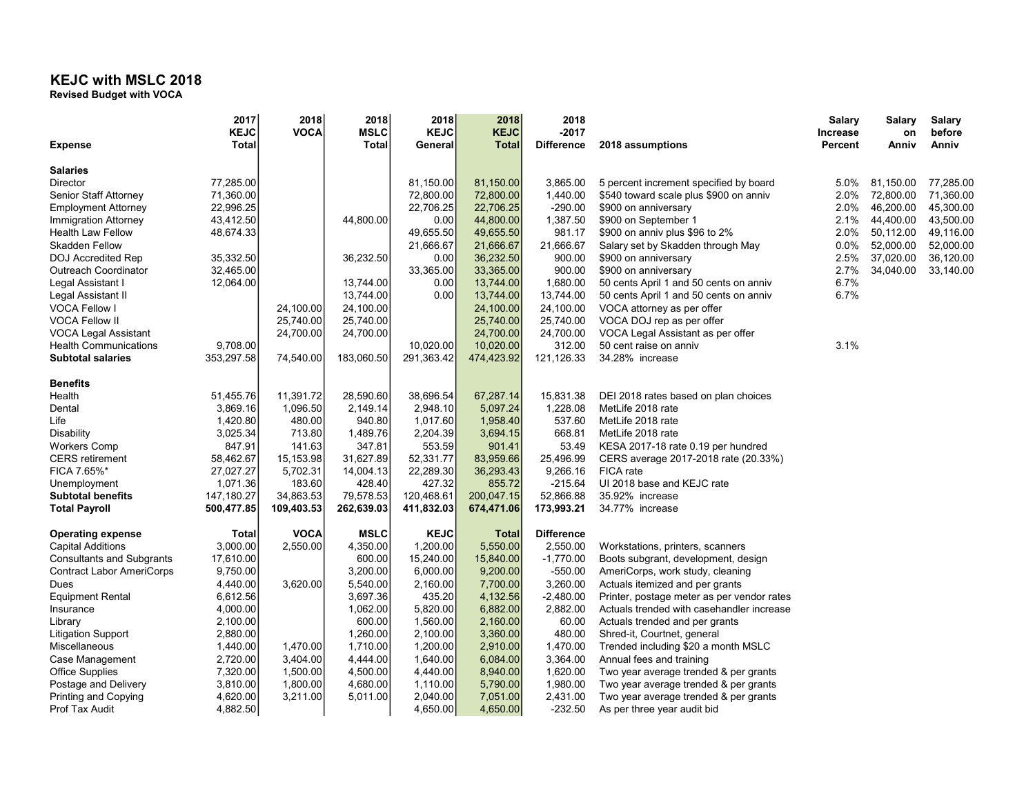## KEJC with MSLC 2018

Revised Budget with VOCA

|                                  | 2017        | 2018        | 2018         | 2018        | 2018         | 2018              |                                            | Salary          | <b>Salary</b> | <b>Salary</b> |
|----------------------------------|-------------|-------------|--------------|-------------|--------------|-------------------|--------------------------------------------|-----------------|---------------|---------------|
|                                  | <b>KEJC</b> | <b>VOCA</b> | <b>MSLC</b>  | <b>KEJC</b> | <b>KEJC</b>  | -2017             |                                            | <b>Increase</b> | on            | before        |
| <b>Expense</b>                   | Total       |             | <b>Total</b> | General     | <b>Total</b> | <b>Difference</b> | 2018 assumptions                           | Percent         | Anniv         | Anniv         |
| <b>Salaries</b>                  |             |             |              |             |              |                   |                                            |                 |               |               |
| Director                         | 77,285.00   |             |              | 81,150.00   | 81,150.00    | 3,865.00          | 5 percent increment specified by board     | 5.0%            | 81,150.00     | 77,285.00     |
| Senior Staff Attorney            | 71,360.00   |             |              | 72,800.00   | 72,800.00    | 1,440.00          | \$540 toward scale plus \$900 on anniv     | 2.0%            | 72,800.00     | 71,360.00     |
| <b>Employment Attorney</b>       | 22,996.25   |             |              | 22,706.25   | 22,706.25    | $-290.00$         | \$900 on anniversary                       | 2.0%            | 46,200.00     | 45,300.00     |
| Immigration Attorney             | 43,412.50   |             | 44,800.00    | 0.00        | 44,800.00    | 1,387.50          | \$900 on September 1                       | 2.1%            | 44,400.00     | 43,500.00     |
| <b>Health Law Fellow</b>         | 48,674.33   |             |              | 49,655.50   | 49,655.50    | 981.17            | \$900 on anniv plus \$96 to 2%             | 2.0%            | 50,112.00     | 49,116.00     |
| <b>Skadden Fellow</b>            |             |             |              | 21,666.67   | 21,666.67    | 21,666.67         | Salary set by Skadden through May          | $0.0\%$         | 52,000.00     | 52,000.00     |
| <b>DOJ</b> Accredited Rep        | 35,332.50   |             | 36,232.50    | 0.00        | 36,232.50    | 900.00            | \$900 on anniversary                       | 2.5%            | 37,020.00     | 36,120.00     |
| <b>Outreach Coordinator</b>      | 32,465.00   |             |              | 33,365.00   | 33,365.00    | 900.00            | \$900 on anniversary                       | 2.7%            | 34,040.00     | 33,140.00     |
| Legal Assistant I                | 12,064.00   |             | 13,744.00    | 0.00        | 13,744.00    | 1,680.00          | 50 cents April 1 and 50 cents on anniv     | 6.7%            |               |               |
| Legal Assistant II               |             |             | 13,744.00    | 0.00        | 13,744.00    | 13,744.00         | 50 cents April 1 and 50 cents on anniv     | 6.7%            |               |               |
| <b>VOCA Fellow I</b>             |             | 24,100.00   | 24,100.00    |             | 24,100.00    | 24,100.00         | VOCA attorney as per offer                 |                 |               |               |
| <b>VOCA Fellow II</b>            |             | 25,740.00   | 25,740.00    |             | 25,740.00    | 25,740.00         | VOCA DOJ rep as per offer                  |                 |               |               |
| VOCA Legal Assistant             |             | 24,700.00   | 24,700.00    |             | 24,700.00    | 24,700.00         | VOCA Legal Assistant as per offer          |                 |               |               |
| <b>Health Communications</b>     | 9,708.00    |             |              | 10,020.00   | 10,020.00    | 312.00            | 50 cent raise on anniv                     | 3.1%            |               |               |
| <b>Subtotal salaries</b>         | 353,297.58  | 74,540.00   | 183,060.50   | 291,363.42  | 474,423.92   | 121,126.33        | 34.28% increase                            |                 |               |               |
| <b>Benefits</b>                  |             |             |              |             |              |                   |                                            |                 |               |               |
| Health                           | 51,455.76   | 11,391.72   | 28,590.60    | 38,696.54   | 67,287.14    | 15,831.38         | DEI 2018 rates based on plan choices       |                 |               |               |
| Dental                           | 3,869.16    | 1,096.50    | 2,149.14     | 2,948.10    | 5,097.24     | 1,228.08          | MetLife 2018 rate                          |                 |               |               |
| Life                             | 1,420.80    | 480.00      | 940.80       | 1,017.60    | 1,958.40     | 537.60            | MetLife 2018 rate                          |                 |               |               |
| Disability                       | 3,025.34    | 713.80      | 1,489.76     | 2,204.39    | 3,694.15     | 668.81            | MetLife 2018 rate                          |                 |               |               |
| <b>Workers Comp</b>              | 847.91      | 141.63      | 347.81       | 553.59      | 901.41       | 53.49             | KESA 2017-18 rate 0.19 per hundred         |                 |               |               |
| <b>CERS</b> retirement           | 58,462.67   | 15,153.98   | 31,627.89    | 52,331.77   | 83,959.66    | 25,496.99         | CERS average 2017-2018 rate (20.33%)       |                 |               |               |
| FICA 7.65%*                      | 27,027.27   | 5,702.31    | 14,004.13    | 22,289.30   | 36,293.43    | 9,266.16          | FICA rate                                  |                 |               |               |
| Unemployment                     | 1,071.36    | 183.60      | 428.40       | 427.32      | 855.72       | $-215.64$         | UI 2018 base and KEJC rate                 |                 |               |               |
| <b>Subtotal benefits</b>         | 147,180.27  | 34,863.53   | 79,578.53    | 120,468.61  | 200,047.15   | 52,866.88         | 35.92% increase                            |                 |               |               |
| <b>Total Payroll</b>             | 500,477.85  | 109,403.53  | 262,639.03   | 411,832.03  | 674,471.06   | 173,993.21        | 34.77% increase                            |                 |               |               |
| <b>Operating expense</b>         | Total       | <b>VOCA</b> | <b>MSLC</b>  | <b>KEJC</b> | <b>Total</b> | <b>Difference</b> |                                            |                 |               |               |
| <b>Capital Additions</b>         | 3,000.00    | 2,550.00    | 4,350.00     | 1,200.00    | 5,550.00     | 2,550.00          | Workstations, printers, scanners           |                 |               |               |
| <b>Consultants and Subgrants</b> | 17,610.00   |             | 600.00       | 15,240.00   | 15,840.00    | $-1,770.00$       | Boots subgrant, development, design        |                 |               |               |
| <b>Contract Labor AmeriCorps</b> | 9,750.00    |             | 3,200.00     | 6,000.00    | 9,200.00     | $-550.00$         | AmeriCorps, work study, cleaning           |                 |               |               |
| Dues                             | 4,440.00    | 3,620.00    | 5,540.00     | 2,160.00    | 7,700.00     | 3,260.00          | Actuals itemized and per grants            |                 |               |               |
| <b>Equipment Rental</b>          | 6,612.56    |             | 3,697.36     | 435.20      | 4,132.56     | $-2,480.00$       | Printer, postage meter as per vendor rates |                 |               |               |
| Insurance                        | 4,000.00    |             | 1,062.00     | 5,820.00    | 6,882.00     | 2,882.00          | Actuals trended with casehandler increase  |                 |               |               |
| Library                          | 2,100.00    |             | 600.00       | 1,560.00    | 2,160.00     | 60.00             | Actuals trended and per grants             |                 |               |               |
| <b>Litigation Support</b>        | 2,880.00    |             | 1,260.00     | 2,100.00    | 3,360.00     | 480.00            | Shred-it, Courtnet, general                |                 |               |               |
| Miscellaneous                    | 1,440.00    | 1,470.00    | 1,710.00     | 1,200.00    | 2,910.00     | 1,470.00          | Trended including \$20 a month MSLC        |                 |               |               |
| Case Management                  | 2,720.00    | 3,404.00    | 4,444.00     | 1,640.00    | 6,084.00     | 3,364.00          | Annual fees and training                   |                 |               |               |
| <b>Office Supplies</b>           | 7,320.00    | 1,500.00    | 4,500.00     | 4,440.00    | 8,940.00     | 1,620.00          | Two year average trended & per grants      |                 |               |               |
| Postage and Delivery             | 3,810.00    | 1,800.00    | 4,680.00     | 1,110.00    | 5,790.00     | 1,980.00          | Two year average trended & per grants      |                 |               |               |
| Printing and Copying             | 4,620.00    | 3,211.00    | 5,011.00     | 2,040.00    | 7,051.00     | 2,431.00          | Two year average trended & per grants      |                 |               |               |
| Prof Tax Audit                   | 4,882.50    |             |              | 4,650.00    | 4,650.00     | $-232.50$         | As per three year audit bid                |                 |               |               |